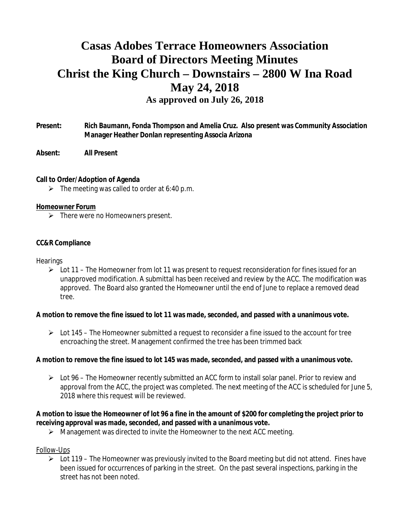# **Casas Adobes Terrace Homeowners Association Board of Directors Meeting Minutes Christ the King Church – Downstairs – 2800 W Ina Road May 24, 2018 As approved on July 26, 2018**

**Present: Rich Baumann, Fonda Thompson and Amelia Cruz. Also present was Community Association Manager Heather Donlan representing Associa Arizona**

**Absent: All Present**

**Call to Order/Adoption of Agenda**

 $\triangleright$  The meeting was called to order at 6:40 p.m.

#### **Homeowner Forum**

 $\triangleright$  There were no Homeowners present.

#### **CC&R Compliance**

**Hearings** 

 $\triangleright$  Lot 11 – The Homeowner from lot 11 was present to request reconsideration for fines issued for an unapproved modification. A submittal has been received and review by the ACC. The modification was approved. The Board also granted the Homeowner until the end of June to replace a removed dead tree.

**A motion to remove the fine issued to lot 11 was made, seconded, and passed with a unanimous vote.**

 $\triangleright$  Lot 145 – The Homeowner submitted a request to reconsider a fine issued to the account for tree encroaching the street. Management confirmed the tree has been trimmed back

**A motion to remove the fine issued to lot 145 was made, seconded, and passed with a unanimous vote.**

 $\triangleright$  Lot 96 – The Homeowner recently submitted an ACC form to install solar panel. Prior to review and approval from the ACC, the project was completed. The next meeting of the ACC is scheduled for June 5, 2018 where this request will be reviewed.

**A motion to issue the Homeowner of lot 96 a fine in the amount of \$200 for completing the project prior to receiving approval was made, seconded, and passed with a unanimous vote.**

 $\triangleright$  Management was directed to invite the Homeowner to the next ACC meeting.

#### Follow-Ups

 $\triangleright$  Lot 119 – The Homeowner was previously invited to the Board meeting but did not attend. Fines have been issued for occurrences of parking in the street. On the past several inspections, parking in the street has not been noted.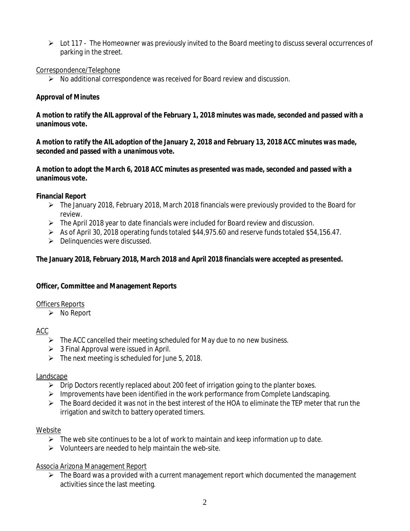Ø Lot 117 - The Homeowner was previously invited to the Board meeting to discuss several occurrences of parking in the street.

## Correspondence/Telephone

 $\triangleright$  No additional correspondence was received for Board review and discussion.

# **Approval of Minutes**

*A motion to ratify the AIL approval of the February 1, 2018 minutes was made, seconded and passed with a unanimous vote.*

*A motion to ratify the AIL adoption of the January 2, 2018 and February 13, 2018 ACC minutes was made, seconded and passed with a unanimous vote.*

*A motion to adopt the March 6, 2018 ACC minutes as presented was made, seconded and passed with a unanimous vote.*

**Financial Report**

- $\triangleright$  The January 2018, February 2018, March 2018 financials were previously provided to the Board for review.
- $\triangleright$  The April 2018 year to date financials were included for Board review and discussion.
- Ø As of April 30, 2018 operating funds totaled \$44,975.60 and reserve funds totaled \$54,156.47.
- $\triangleright$  Delinquencies were discussed.

**The January 2018, February 2018, March 2018 and April 2018 financials were accepted as presented.**

**Officer, Committee and Management Reports**

## Officers Reports

 $\triangleright$  No Report

# ACC

- $\triangleright$  The ACC cancelled their meeting scheduled for May due to no new business.
- $\geq$  3 Final Approval were issued in April.
- $\triangleright$  The next meeting is scheduled for June 5, 2018.

## Landscape

- $\triangleright$  Drip Doctors recently replaced about 200 feet of irrigation going to the planter boxes.
- $\triangleright$  Improvements have been identified in the work performance from Complete Landscaping.
- $\triangleright$  The Board decided it was not in the best interest of the HOA to eliminate the TEP meter that run the irrigation and switch to battery operated timers.

## Website

- $\triangleright$  The web site continues to be a lot of work to maintain and keep information up to date.
- $\triangleright$  Volunteers are needed to help maintain the web-site.

Associa Arizona Management Report

 $\triangleright$  The Board was a provided with a current management report which documented the management activities since the last meeting.